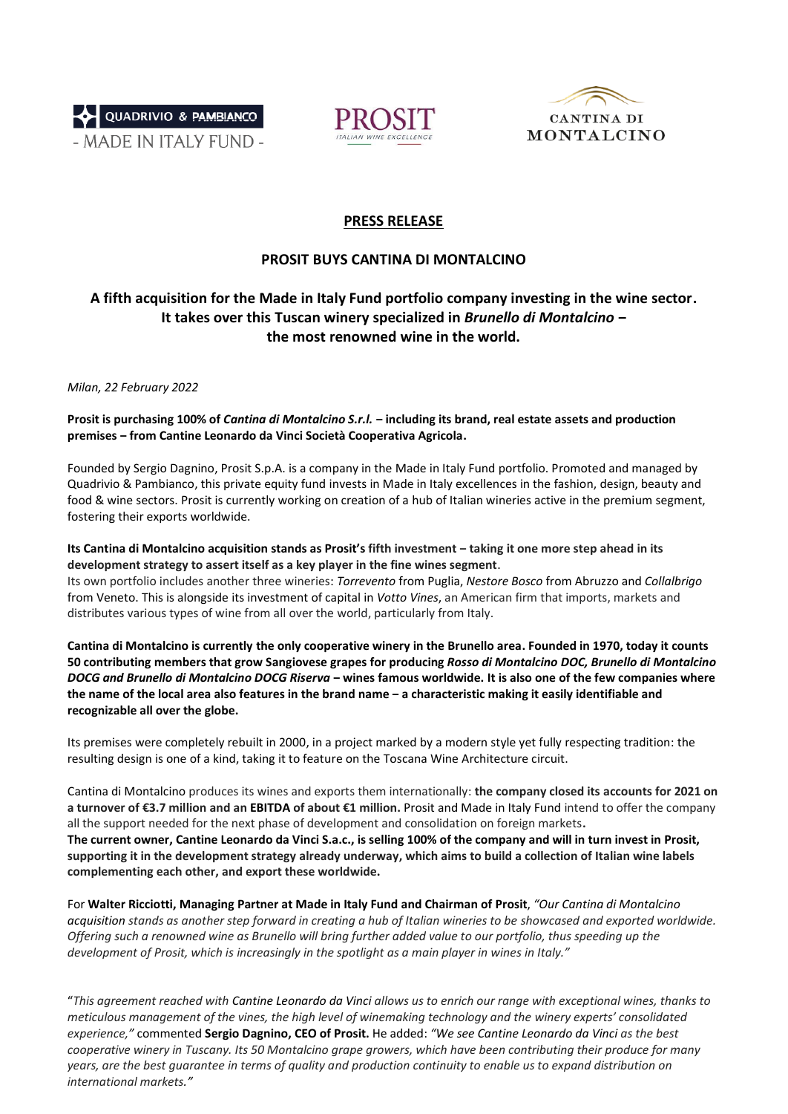





# **PRESS RELEASE**

## **PROSIT BUYS CANTINA DI MONTALCINO**

# **A fifth acquisition for the Made in Italy Fund portfolio company investing in the wine sector. It takes over this Tuscan winery specialized in** *Brunello di Montalcino* **‒ the most renowned wine in the world.**

*Milan, 22 February 2022*

**Prosit is purchasing 100% of** *Cantina di Montalcino S.r.l.* **‒ including its brand, real estate assets and production premises ‒ from Cantine Leonardo da Vinci Società Cooperativa Agricola.**

Founded by Sergio Dagnino, Prosit S.p.A. is a company in the Made in Italy Fund portfolio. Promoted and managed by Quadrivio & Pambianco, this private equity fund invests in Made in Italy excellences in the fashion, design, beauty and food & wine sectors. Prosit is currently working on creation of a hub of Italian wineries active in the premium segment, fostering their exports worldwide.

## **Its Cantina di Montalcino acquisition stands as Prosit's fifth investment ‒ taking it one more step ahead in its development strategy to assert itself as a key player in the fine wines segment**.

Its own portfolio includes another three wineries: *Torrevento* from Puglia, *Nestore Bosco* from Abruzzo and *Collalbrigo* from Veneto. This is alongside its investment of capital in *Votto Vines*, an American firm that imports, markets and distributes various types of wine from all over the world, particularly from Italy.

**Cantina di Montalcino is currently the only cooperative winery in the Brunello area. Founded in 1970, today it counts 50 contributing members that grow Sangiovese grapes for producing** *Rosso di Montalcino DOC, Brunello di Montalcino DOCG and Brunello di Montalcino DOCG Riserva* **‒ wines famous worldwide. It is also one of the few companies where the name of the local area also features in the brand name ‒ a characteristic making it easily identifiable and recognizable all over the globe.**

Its premises were completely rebuilt in 2000, in a project marked by a modern style yet fully respecting tradition: the resulting design is one of a kind, taking it to feature on the Toscana Wine Architecture circuit.

Cantina di Montalcino produces its wines and exports them internationally: **the company closed its accounts for 2021 on a turnover of €3.7 million and an EBITDA of about €1 million.** Prosit and Made in Italy Fund intend to offer the company all the support needed for the next phase of development and consolidation on foreign markets**. The current owner, Cantine Leonardo da Vinci S.a.c., is selling 100% of the company and will in turn invest in Prosit, supporting it in the development strategy already underway, which aims to build a collection of Italian wine labels complementing each other, and export these worldwide.**

For **Walter Ricciotti, Managing Partner at Made in Italy Fund and Chairman of Prosit**, *"Our Cantina di Montalcino acquisition stands as another step forward in creating a hub of Italian wineries to be showcased and exported worldwide. Offering such a renowned wine as Brunello will bring further added value to our portfolio, thus speeding up the development of Prosit, which is increasingly in the spotlight as a main player in wines in Italy."*

"*This agreement reached with Cantine Leonardo da Vinci allows us to enrich our range with exceptional wines, thanks to meticulous management of the vines, the high level of winemaking technology and the winery experts' consolidated experience,"* commented **Sergio Dagnino, CEO of Prosit.** He added: *"We see Cantine Leonardo da Vinci as the best cooperative winery in Tuscany. Its 50 Montalcino grape growers, which have been contributing their produce for many years, are the best guarantee in terms of quality and production continuity to enable us to expand distribution on international markets."*